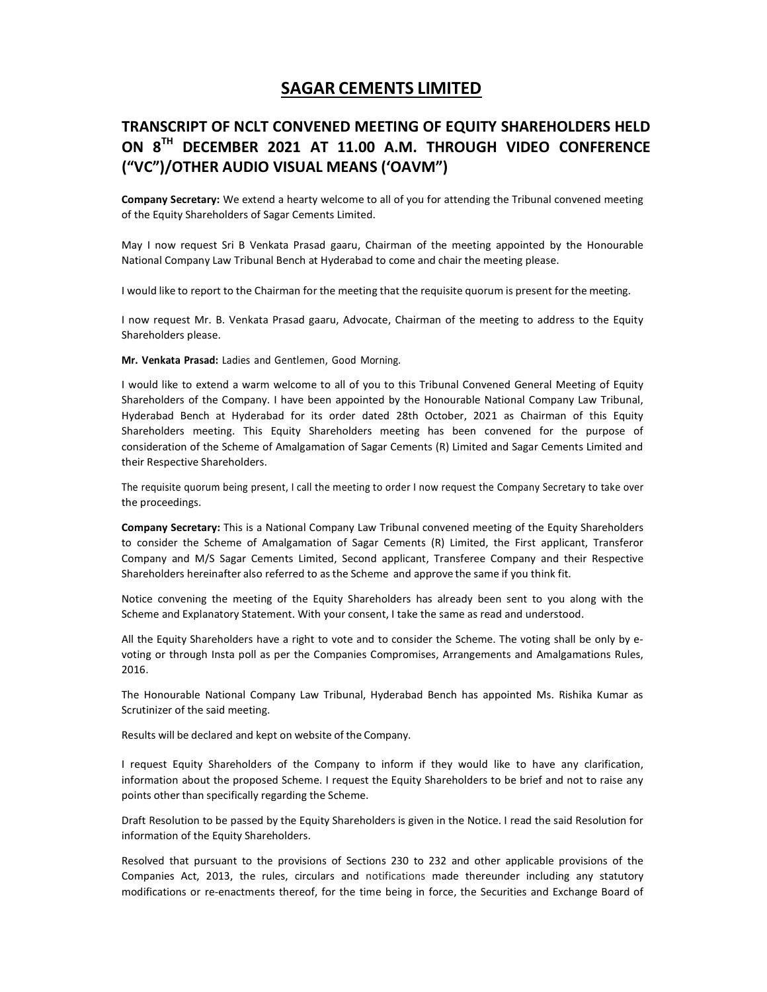## SAGAR CEMENTS LIMITED

## TRANSCRIPT OF NCLT CONVENED MEETING OF EQUITY SHAREHOLDERS HELD ON 8TH DECEMBER 2021 AT 11.00 A.M. THROUGH VIDEO CONFERENCE ("VC")/OTHER AUDIO VISUAL MEANS ('OAVM")

Company Secretary: We extend a hearty welcome to all of you for attending the Tribunal convened meeting of the Equity Shareholders of Sagar Cements Limited.

May I now request Sri B Venkata Prasad gaaru, Chairman of the meeting appointed by the Honourable National Company Law Tribunal Bench at Hyderabad to come and chair the meeting please.

I would like to report to the Chairman for the meeting that the requisite quorum is present for the meeting.

I now request Mr. B. Venkata Prasad gaaru, Advocate, Chairman of the meeting to address to the Equity Shareholders please.

Mr. Venkata Prasad: Ladies and Gentlemen, Good Morning.

I would like to extend a warm welcome to all of you to this Tribunal Convened General Meeting of Equity Shareholders of the Company. I have been appointed by the Honourable National Company Law Tribunal, Hyderabad Bench at Hyderabad for its order dated 28th October, 2021 as Chairman of this Equity Shareholders meeting. This Equity Shareholders meeting has been convened for the purpose of consideration of the Scheme of Amalgamation of Sagar Cements (R) Limited and Sagar Cements Limited and their Respective Shareholders.

The requisite quorum being present, I call the meeting to order I now request the Company Secretary to take over the proceedings.

Company Secretary: This is a National Company Law Tribunal convened meeting of the Equity Shareholders to consider the Scheme of Amalgamation of Sagar Cements (R) Limited, the First applicant, Transferor Company and M/S Sagar Cements Limited, Second applicant, Transferee Company and their Respective Shareholders hereinafter also referred to as the Scheme and approve the same if you think fit.

Notice convening the meeting of the Equity Shareholders has already been sent to you along with the Scheme and Explanatory Statement. With your consent, I take the same as read and understood.

All the Equity Shareholders have a right to vote and to consider the Scheme. The voting shall be only by evoting or through Insta poll as per the Companies Compromises, Arrangements and Amalgamations Rules, 2016.

The Honourable National Company Law Tribunal, Hyderabad Bench has appointed Ms. Rishika Kumar as Scrutinizer of the said meeting.

Results will be declared and kept on website of the Company.

I request Equity Shareholders of the Company to inform if they would like to have any clarification, information about the proposed Scheme. I request the Equity Shareholders to be brief and not to raise any points other than specifically regarding the Scheme.

Draft Resolution to be passed by the Equity Shareholders is given in the Notice. I read the said Resolution for information of the Equity Shareholders.

Resolved that pursuant to the provisions of Sections 230 to 232 and other applicable provisions of the Companies Act, 2013, the rules, circulars and notifications made thereunder including any statutory modifications or re-enactments thereof, for the time being in force, the Securities and Exchange Board of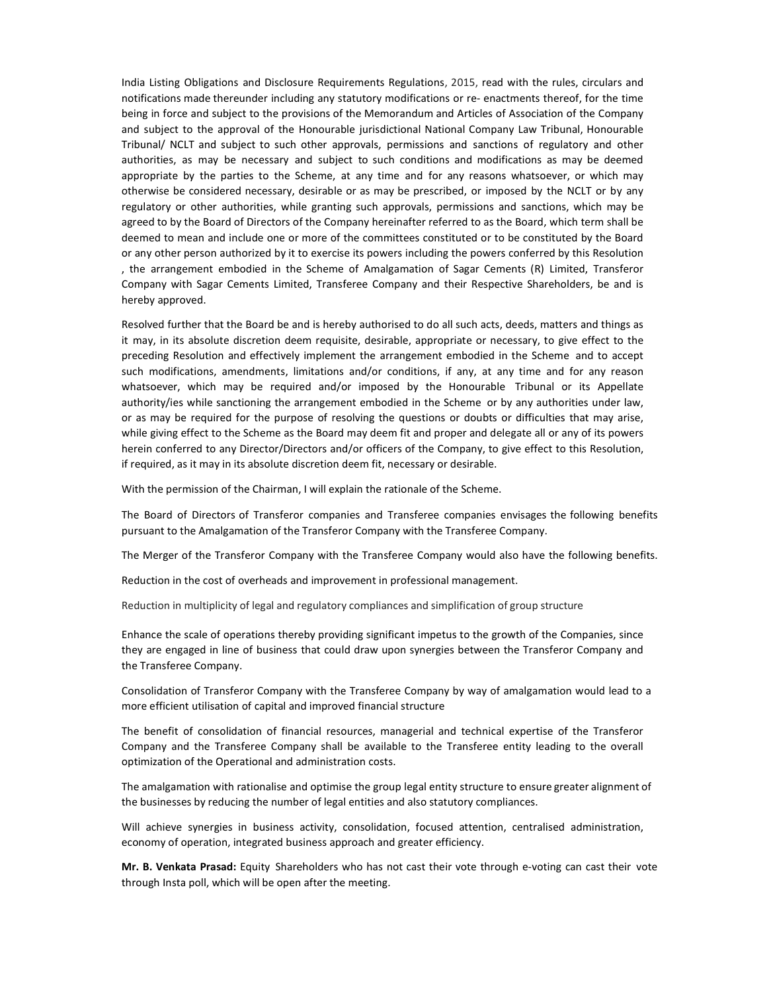India Listing Obligations and Disclosure Requirements Regulations, 2015, read with the rules, circulars and notifications made thereunder including any statutory modifications or re- enactments thereof, for the time being in force and subject to the provisions of the Memorandum and Articles of Association of the Company and subject to the approval of the Honourable jurisdictional National Company Law Tribunal, Honourable Tribunal/ NCLT and subject to such other approvals, permissions and sanctions of regulatory and other authorities, as may be necessary and subject to such conditions and modifications as may be deemed appropriate by the parties to the Scheme, at any time and for any reasons whatsoever, or which may otherwise be considered necessary, desirable or as may be prescribed, or imposed by the NCLT or by any regulatory or other authorities, while granting such approvals, permissions and sanctions, which may be agreed to by the Board of Directors of the Company hereinafter referred to as the Board, which term shall be deemed to mean and include one or more of the committees constituted or to be constituted by the Board or any other person authorized by it to exercise its powers including the powers conferred by this Resolution , the arrangement embodied in the Scheme of Amalgamation of Sagar Cements (R) Limited, Transferor Company with Sagar Cements Limited, Transferee Company and their Respective Shareholders, be and is hereby approved.

Resolved further that the Board be and is hereby authorised to do all such acts, deeds, matters and things as it may, in its absolute discretion deem requisite, desirable, appropriate or necessary, to give effect to the preceding Resolution and effectively implement the arrangement embodied in the Scheme and to accept such modifications, amendments, limitations and/or conditions, if any, at any time and for any reason whatsoever, which may be required and/or imposed by the Honourable Tribunal or its Appellate authority/ies while sanctioning the arrangement embodied in the Scheme or by any authorities under law, or as may be required for the purpose of resolving the questions or doubts or difficulties that may arise, while giving effect to the Scheme as the Board may deem fit and proper and delegate all or any of its powers herein conferred to any Director/Directors and/or officers of the Company, to give effect to this Resolution, if required, as it may in its absolute discretion deem fit, necessary or desirable.

With the permission of the Chairman, I will explain the rationale of the Scheme.

The Board of Directors of Transferor companies and Transferee companies envisages the following benefits pursuant to the Amalgamation of the Transferor Company with the Transferee Company.

The Merger of the Transferor Company with the Transferee Company would also have the following benefits.

Reduction in the cost of overheads and improvement in professional management.

Reduction in multiplicity of legal and regulatory compliances and simplification of group structure

Enhance the scale of operations thereby providing significant impetus to the growth of the Companies, since they are engaged in line of business that could draw upon synergies between the Transferor Company and the Transferee Company.

Consolidation of Transferor Company with the Transferee Company by way of amalgamation would lead to a more efficient utilisation of capital and improved financial structure

The benefit of consolidation of financial resources, managerial and technical expertise of the Transferor Company and the Transferee Company shall be available to the Transferee entity leading to the overall optimization of the Operational and administration costs.

The amalgamation with rationalise and optimise the group legal entity structure to ensure greater alignment of the businesses by reducing the number of legal entities and also statutory compliances.

Will achieve synergies in business activity, consolidation, focused attention, centralised administration, economy of operation, integrated business approach and greater efficiency.

Mr. B. Venkata Prasad: Equity Shareholders who has not cast their vote through e-voting can cast their vote through Insta poll, which will be open after the meeting.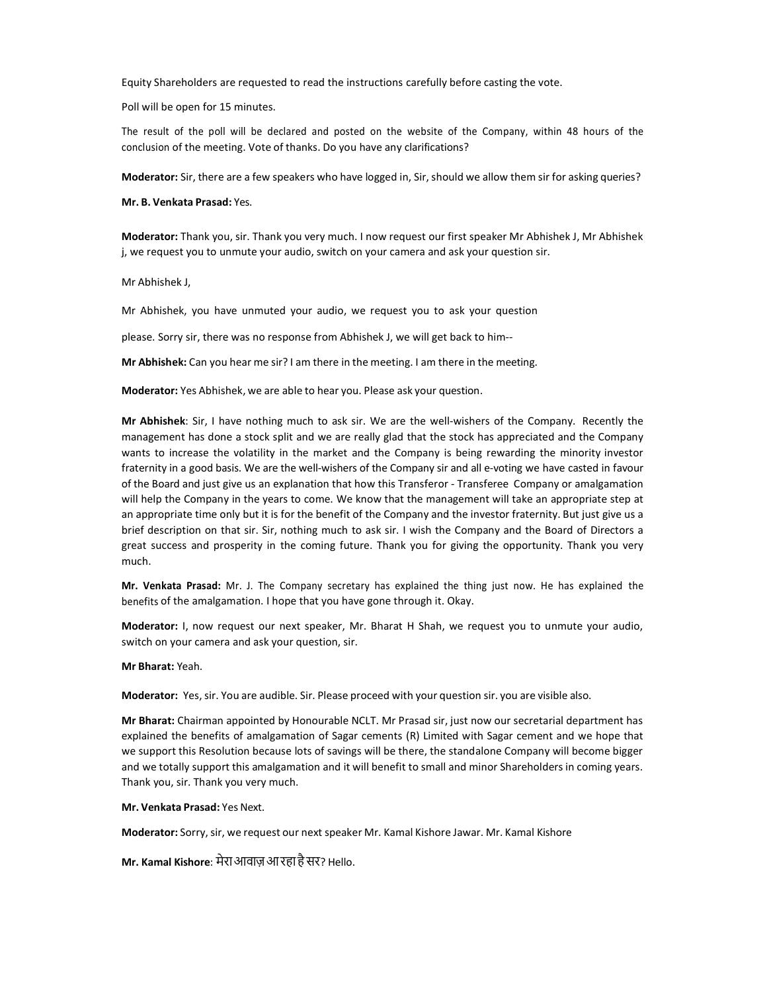Equity Shareholders are requested to read the instructions carefully before casting the vote.

Poll will be open for 15 minutes.

The result of the poll will be declared and posted on the website of the Company, within 48 hours of the conclusion of the meeting. Vote of thanks. Do you have any clarifications?

Moderator: Sir, there are a few speakers who have logged in, Sir, should we allow them sir for asking queries?

Mr. B. Venkata Prasad: Yes.

Moderator: Thank you, sir. Thank you very much. I now request our first speaker Mr Abhishek J, Mr Abhishek j, we request you to unmute your audio, switch on your camera and ask your question sir.

Mr Abhishek J,

Mr Abhishek, you have unmuted your audio, we request you to ask your question

please. Sorry sir, there was no response from Abhishek J, we will get back to him--

Mr Abhishek: Can you hear me sir? I am there in the meeting. I am there in the meeting.

Moderator: Yes Abhishek, we are able to hear you. Please ask your question.

Mr Abhishek: Sir, I have nothing much to ask sir. We are the well-wishers of the Company. Recently the management has done a stock split and we are really glad that the stock has appreciated and the Company wants to increase the volatility in the market and the Company is being rewarding the minority investor fraternity in a good basis. We are the well-wishers of the Company sir and all e-voting we have casted in favour of the Board and just give us an explanation that how this Transferor - Transferee Company or amalgamation will help the Company in the years to come. We know that the management will take an appropriate step at an appropriate time only but it is for the benefit of the Company and the investor fraternity. But just give us a brief description on that sir. Sir, nothing much to ask sir. I wish the Company and the Board of Directors a great success and prosperity in the coming future. Thank you for giving the opportunity. Thank you very much.

Mr. Venkata Prasad: Mr. J. The Company secretary has explained the thing just now. He has explained the benefits of the amalgamation. I hope that you have gone through it. Okay.

Moderator: I, now request our next speaker, Mr. Bharat H Shah, we request you to unmute your audio, switch on your camera and ask your question, sir.

## Mr Bharat: Yeah.

Moderator: Yes, sir. You are audible. Sir. Please proceed with your question sir. you are visible also.

Mr Bharat: Chairman appointed by Honourable NCLT. Mr Prasad sir, just now our secretarial department has explained the benefits of amalgamation of Sagar cements (R) Limited with Sagar cement and we hope that we support this Resolution because lots of savings will be there, the standalone Company will become bigger and we totally support this amalgamation and it will benefit to small and minor Shareholders in coming years. Thank you, sir. Thank you very much.

## Mr. Venkata Prasad: Yes Next.

Moderator: Sorry, sir, we request our next speaker Mr. Kamal Kishore Jawar. Mr. Kamal Kishore

Mr. Kamal Kishore: मेराआवाज़आरहाहैसर? Hello.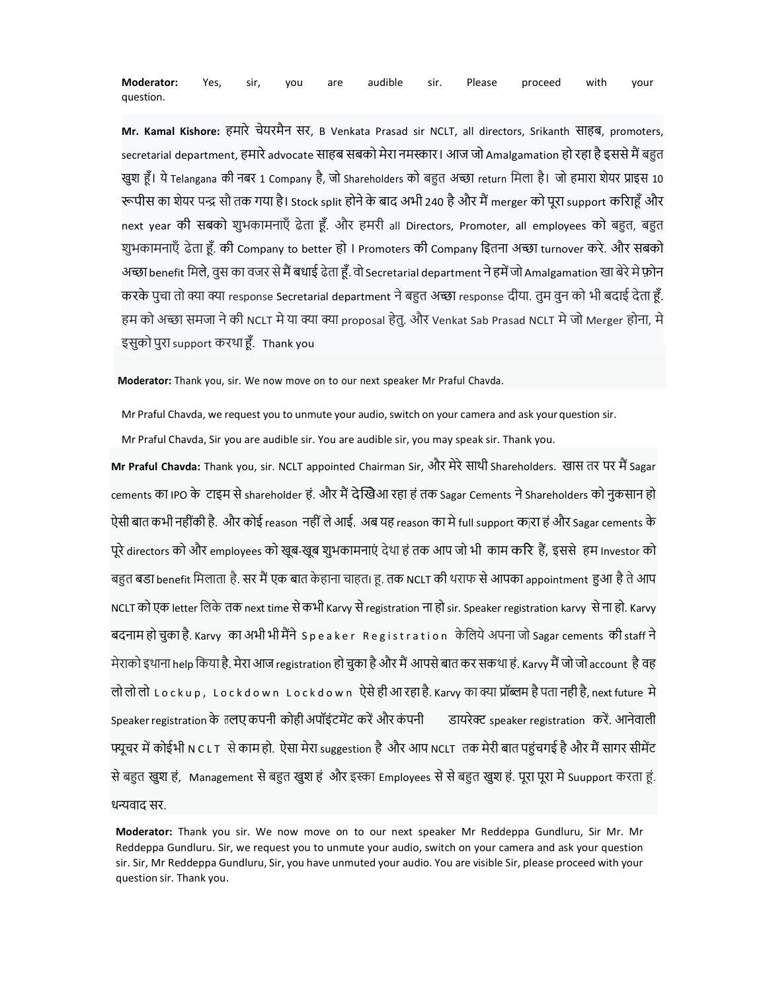Moderator: Yes, sir, you are audible sir. Please proceed with your question.

Mr. Kamal Kishore: हमारे चेयरमैन सर, B Venkata Prasad sir NCLT, all directors, Srikanth साहब, promoters, secretarial department, हमारे advocate साहब सबको मेरा नमस्कार। आज जो Amalgamation हो रहा है इससे मैं बहुत खुश हूँ। ये Telangana की नबर 1 Company है, जो Shareholders को बहुत अच्छा return मिला है। जो हमारा शेयर प्राइस 10 रूपीस का शेयर पन्द्र सौ तक गया है। Stock split होने के बाद अभी 240 है और मैं merger को पूरा support करिाहँ और next year की सबको शुभकामनाएँ ढेता हूँ. और हमरी all Directors, Promoter, all employees को बहुत, बहुत शुभकामनाएँ ढेता हूँ. की Company to better हो । Promoters की Company इितना अच्छा turnover करे. और सबको अच्छा benefit मिले, वुस का वजर से मैं बधाई ढेता हूँ. वो Secretarial department ने हमें जो Amalgamation खा बेरे मे फ़ोन करके पुचा तो क्या क्या response Secretarial department ने बहुत अच्छा response दीया. तुम वुन को भी बदाई देता हूँ. हम को अच्छा समजा ने की NCLT मे या क्या क्या proposal हेतु. और Venkat Sab Prasad NCLT मे जो Merger होना, मे इसुको पुरा support करथा šँ. Thank you

Moderator: Thank you, sir. We now move on to our next speaker Mr Praful Chavda.

Mr Praful Chavda, we request you to unmute your audio, switch on your camera and ask your question sir.

Mr Praful Chavda, Sir you are audible sir. You are audible sir, you may speak sir. Thank you.

Mr Praful Chavda: Thank you, sir. NCLT appointed Chairman Sir, और मेरे साथी Shareholders. खास तर पर मैं Sagar cements का IPO के टाइम से shareholder हं. और मैं देखिआ रहा हं तक Sagar Cements ने Shareholders को नुकसान हो ऐसी बात कभी नहींकी है. और कोई reason नहीं ले आई. अब यह reason का मे full support क]रा हं और Sagar cements के पूरे directors को और employees को खूब-खूब शुभकामनाएं देथा हं तक आप जो भी काम करि हैं, इससे हम Investor को बहुत बडा benefit मिलाता है. सर मैं एक बात केहाना चाहत। हू. तक NCLT की थराफ से आपका appointment हुआ है ते आप NCLT को एक letter िलके तक next time सेकभी Karvy से registration ना हो sir. Speaker registration karvy सेना हो. Karvy बदनाम हो चुका है. Karvy का अभी भी मैंने Speaker Registration केलिये अपना जो Sagar cements की staff ने मेराको इथाना help किया है. मेरा आज registration हो चुका है और मैं आपसे बात कर सकथा हं. Karvy मैं जो जो account है वह लो लो लो <code>Lockup, Lockdown Lockdown ऐ</code>से ही आ रहा है. Karvy का क्या प्रॉब्लम है पता नही है, next future मे Speaker registration के तलए कपनी कोही अपॉइंटमेंट करें और कंपनी डायरेक्ट speaker registration करें. आनेवाली पयूचर में कोईभी N C L T से काम हो. ऐसा मेरा suggestion है और आप NCLT तक मेरी बात पहुंचगई है और मैं सागर सीमेंट से बहुत खुश हं, Management से बहुत खुश हं और इस्का Employees से से बहुत खुश हं. पूरा पूरा मे Suupport करता हूं. धन्यवाद सर.

Moderator: Thank you sir. We now move on to our next speaker Mr Reddeppa Gundluru, Sir Mr. Mr Reddeppa Gundluru. Sir, we request you to unmute your audio, switch on your camera and ask your question sir. Sir, Mr Reddeppa Gundluru, Sir, you have unmuted your audio. You are visible Sir, please proceed with your question sir. Thank you.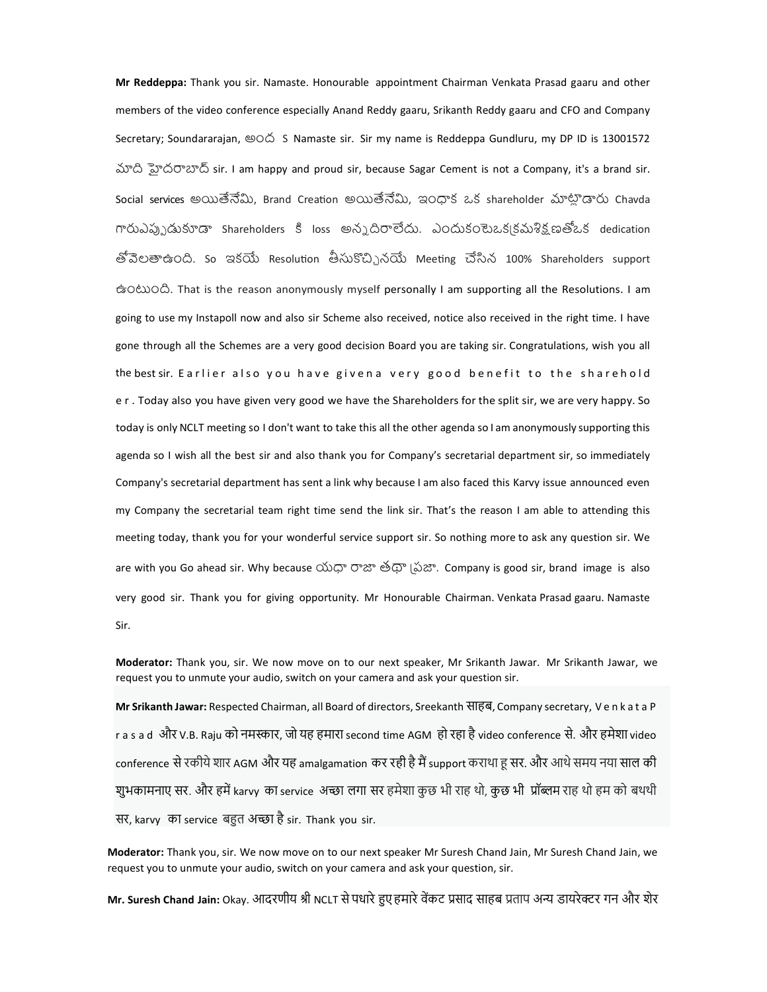Mr Reddeppa: Thank you sir. Namaste. Honourable appointment Chairman Venkata Prasad gaaru and other members of the video conference especially Anand Reddy gaaru, Srikanth Reddy gaaru and CFO and Company Secretary; Soundararajan,  $\circledcirc \circ \circ$  S Namaste sir. Sir my name is Reddeppa Gundluru, my DP ID is 13001572 ࠪ ࣝద߂ࠈࡌ sir. I am happy and proud sir, because Sagar Cement is not a Company, it's a brand sir. Social services అయితేనేమి, Brand Creation అయితేనేమి, ఇంధాక ఒక shareholder మాట్లాడారు Chavda గారుఎప్పుడుకూడా Shareholders కి loss అన్నదిరాలేదు. ఎందుకంటెఒక్కకమశిక్షణతోఒక dedication తోవెలతాఉంది. So ఇకయే Resolution తీసుకొచ్చినయే Meeting చేసిన 100% Shareholders support ఉంܿం. That is the reason anonymously myself personally I am supporting all the Resolutions. I am going to use my Instapoll now and also sir Scheme also received, notice also received in the right time. I have gone through all the Schemes are a very good decision Board you are taking sir. Congratulations, wish you all the best sir. E arlier also you have givena very good benefit to the sharehold e r . Today also you have given very good we have the Shareholders for the split sir, we are very happy. So today is only NCLT meeting so I don't want to take this all the other agenda so I am anonymously supporting this agenda so I wish all the best sir and also thank you for Company's secretarial department sir, so immediately Company's secretarial department has sent a link why because I am also faced this Karvy issue announced even my Company the secretarial team right time send the link sir. That's the reason I am able to attending this meeting today, thank you for your wonderful service support sir. So nothing more to ask any question sir. We are with you Go ahead sir. Why because యధా రాజా తథా వ్రహ. Company is good sir, brand image is also very good sir. Thank you for giving opportunity. Mr Honourable Chairman. Venkata Prasad gaaru. Namaste Sir.

Moderator: Thank you, sir. We now move on to our next speaker, Mr Srikanth Jawar. Mr Srikanth Jawar, we request you to unmute your audio, switch on your camera and ask your question sir.

Mr Srikanth Jawar: Respected Chairman, all Board of directors, Sreekanth साहब, Company secretary, V e n k a t a P r a s a d और V.B. Raju को नमस्कार, जो यह हमारा second time AGM हो रहा है video conference से. और हमेशा video conference से रकीये शार AGM और यह amalgamation कर रही है मैं support कराथा हू सर. और आथे समय नया साल की शुभकामनाए सर. और हमें karvy का service अच्छा लगा सर हमेशा कुछ भी राह थो, कुछ भी प्रॉब्लम राह थो हम को बथथी सर, karvy का service बहुत अच्छा है sir. Thank you sir.

Moderator: Thank you, sir. We now move on to our next speaker Mr Suresh Chand Jain, Mr Suresh Chand Jain, we request you to unmute your audio, switch on your camera and ask your question, sir.

Mr. Suresh Chand Jain: Okay. आदरणीय श्री NCLT से पधारे हुए हमारे वेंकट प्रसाद साहब प्रताप अन्य डायरेक्टर गन और शेर